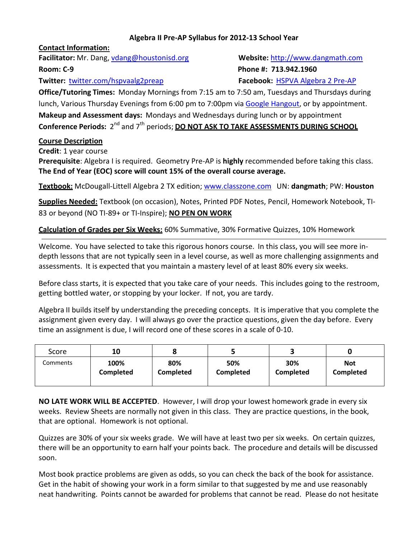## **Algebra II Pre-AP Syllabus for 2012-13 School Year**

**Contact Information:**

**Facilitator:** Mr. Dang, [vdang@houstonisd.org](mailto:vdang@houstonisd.org) **Website:** [http://www.dangmath.com](http://www.dangmath.com/) **Room: C-9 Phone #: 713.942.1960**

**Twitter:** [twitter.com/hspvaalg2preap](http://www.twitter.com/hspvaalg2preap) **Facebook:** [HSPVA Algebra 2 Pre-AP](http://www.facebook.com/pages/Hspva-Algebra-2-Pre-AP/465683746777754)

**Office/Tutoring Times:** Monday Mornings from 7:15 am to 7:50 am, Tuesdays and Thursdays during lunch, Various Thursday Evenings from 6:00 pm to 7:00pm vi[a Google Hangout,](../../../../../../My%20Documents/Downloads/plus.google.com) or by appointment. **Makeup and Assessment days:** Mondays and Wednesdays during lunch or by appointment  $C$ onference Periods: 2<sup>nd</sup> and 7<sup>th</sup> periods; **<u>DO NOT ASK TO TAKE ASSESSMENTS DURING SCHOOL</u>** 

## **Course Description**

**Credit**: 1 year course

**Prerequisite**: Algebra I is required. Geometry Pre-AP is **highly** recommended before taking this class. **The End of Year (EOC) score will count 15% of the overall course average.**

**Textbook:** McDougall-Littell Algebra 2 TX edition; [www.classzone.com](http://www.classzone.com/) [UN:](http://www.myhrw.com/) **dangmath**; PW: **Houston**

**Supplies Needed:** Textbook (on occasion), Notes, Printed PDF Notes, Pencil, Homework Notebook, TI-83 or beyond (NO TI-89+ or TI-Inspire); **NO PEN ON WORK**

**Calculation of Grades per Six Weeks:** 60% Summative, 30% Formative Quizzes, 10% Homework

Welcome. You have selected to take this rigorous honors course. In this class, you will see more indepth lessons that are not typically seen in a level course, as well as more challenging assignments and assessments. It is expected that you maintain a mastery level of at least 80% every six weeks.

Before class starts, it is expected that you take care of your needs. This includes going to the restroom, getting bottled water, or stopping by your locker. If not, you are tardy.

Algebra II builds itself by understanding the preceding concepts. It is imperative that you complete the assignment given every day. I will always go over the practice questions, given the day before. Every time an assignment is due, I will record one of these scores in a scale of 0-10.

| Score    | 10               |           |                  |           |                  |
|----------|------------------|-----------|------------------|-----------|------------------|
| Comments | 100%             | 80%       | 50%              | 30%       | <b>Not</b>       |
|          | <b>Completed</b> | Completed | <b>Completed</b> | Completed | <b>Completed</b> |

**NO LATE WORK WILL BE ACCEPTED**. However, I will drop your lowest homework grade in every six weeks. Review Sheets are normally not given in this class. They are practice questions, in the book, that are optional. Homework is not optional.

Quizzes are 30% of your six weeks grade. We will have at least two per six weeks. On certain quizzes, there will be an opportunity to earn half your points back. The procedure and details will be discussed soon.

Most book practice problems are given as odds, so you can check the back of the book for assistance. Get in the habit of showing your work in a form similar to that suggested by me and use reasonably neat handwriting. Points cannot be awarded for problems that cannot be read. Please do not hesitate